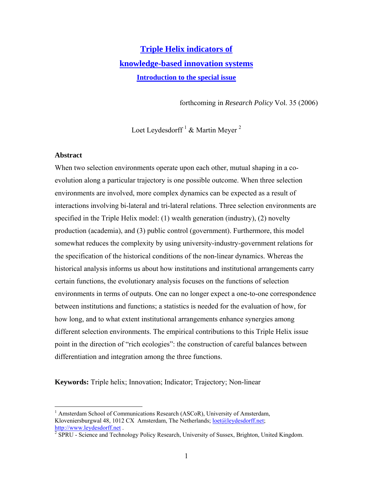# **[Triple Helix indicators of](http://www.leydesdorff.net/rp06th5/index.htm) [knowledge-based innovation systems](http://www.leydesdorff.net/rp06th5/index.htm) [Introduction to the special issue](http://www.leydesdorff.net/rp06th5/index.htm)**

forthcoming in *Research Policy* Vol. 35 (2006)

Loet Leydesdorff  $^1$  $^1$  & Martin Meyer  $^2$ 

# **Abstract**

 $\overline{a}$ 

When two selection environments operate upon each other, mutual shaping in a coevolution along a particular trajectory is one possible outcome. When three selection environments are involved, more complex dynamics can be expected as a result of interactions involving bi-lateral and tri-lateral relations. Three selection environments are specified in the Triple Helix model: (1) wealth generation (industry), (2) novelty production (academia), and (3) public control (government). Furthermore, this model somewhat reduces the complexity by using university-industry-government relations for the specification of the historical conditions of the non-linear dynamics. Whereas the historical analysis informs us about how institutions and institutional arrangements carry certain functions, the evolutionary analysis focuses on the functions of selection environments in terms of outputs. One can no longer expect a one-to-one correspondence between institutions and functions; a statistics is needed for the evaluation of how, for how long, and to what extent institutional arrangements enhance synergies among different selection environments. The empirical contributions to this Triple Helix issue point in the direction of "rich ecologies": the construction of careful balances between differentiation and integration among the three functions.

**Keywords:** Triple helix; Innovation; Indicator; Trajectory; Non-linear

<span id="page-0-0"></span><sup>&</sup>lt;sup>1</sup> Amsterdam School of Communications Research (ASCoR), University of Amsterdam, Kloveniersburgwal 48, 1012 CX Amsterdam, The Netherlands; [loet@leydesdorff.net](mailto:loet@leydesdorff.net); [http://www.leydesdorff.net](http://www.leydesdorff.net/).

<span id="page-0-1"></span><sup>&</sup>lt;sup>2</sup> SPRU - Science and Technology Policy Research, University of Sussex, Brighton, United Kingdom.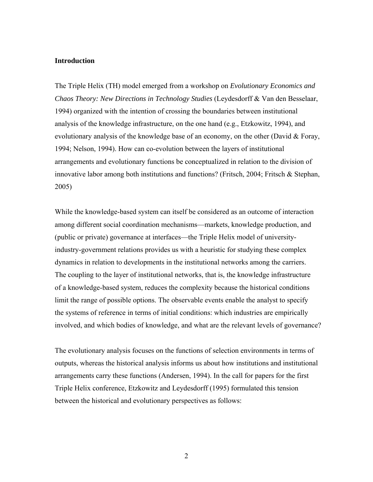## **Introduction**

The Triple Helix (TH) model emerged from a workshop on *Evolutionary Economics and Chaos Theory: New Directions in Technology Studies* (Leydesdorff & Van den Besselaar, 1994) organized with the intention of crossing the boundaries between institutional analysis of the knowledge infrastructure, on the one hand (e.g., Etzkowitz, 1994), and evolutionary analysis of the knowledge base of an economy, on the other (David & Foray, 1994; Nelson, 1994). How can co-evolution between the layers of institutional arrangements and evolutionary functions be conceptualized in relation to the division of innovative labor among both institutions and functions? (Fritsch, 2004; Fritsch & Stephan, 2005)

While the knowledge-based system can itself be considered as an outcome of interaction among different social coordination mechanisms—markets, knowledge production, and (public or private) governance at interfaces—the Triple Helix model of universityindustry-government relations provides us with a heuristic for studying these complex dynamics in relation to developments in the institutional networks among the carriers. The coupling to the layer of institutional networks, that is, the knowledge infrastructure of a knowledge-based system, reduces the complexity because the historical conditions limit the range of possible options. The observable events enable the analyst to specify the systems of reference in terms of initial conditions: which industries are empirically involved, and which bodies of knowledge, and what are the relevant levels of governance?

The evolutionary analysis focuses on the functions of selection environments in terms of outputs, whereas the historical analysis informs us about how institutions and institutional arrangements carry these functions (Andersen, 1994). In the call for papers for the first Triple Helix conference, Etzkowitz and Leydesdorff (1995) formulated this tension between the historical and evolutionary perspectives as follows: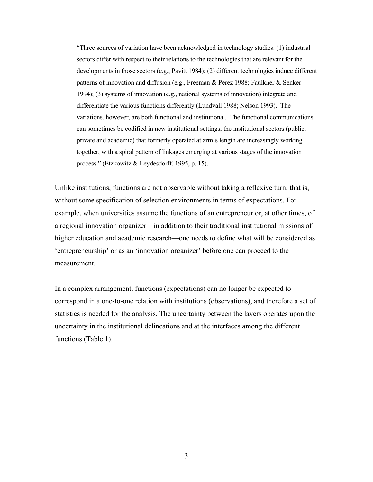"Three sources of variation have been acknowledged in technology studies: (1) industrial sectors differ with respect to their relations to the technologies that are relevant for the developments in those sectors (e.g., Pavitt 1984); (2) different technologies induce different patterns of innovation and diffusion (e.g., Freeman & Perez 1988; Faulkner & Senker 1994); (3) systems of innovation (e.g., national systems of innovation) integrate and differentiate the various functions differently (Lundvall 1988; Nelson 1993). The variations, however, are both functional and institutional. The functional communications can sometimes be codified in new institutional settings; the institutional sectors (public, private and academic) that formerly operated at arm's length are increasingly working together, with a spiral pattern of linkages emerging at various stages of the innovation process." (Etzkowitz & Leydesdorff, 1995, p. 15).

Unlike institutions, functions are not observable without taking a reflexive turn, that is, without some specification of selection environments in terms of expectations. For example, when universities assume the functions of an entrepreneur or, at other times, of a regional innovation organizer—in addition to their traditional institutional missions of higher education and academic research—one needs to define what will be considered as 'entrepreneurship' or as an 'innovation organizer' before one can proceed to the measurement.

In a complex arrangement, functions (expectations) can no longer be expected to correspond in a one-to-one relation with institutions (observations), and therefore a set of statistics is needed for the analysis. The uncertainty between the layers operates upon the uncertainty in the institutional delineations and at the interfaces among the different functions (Table 1).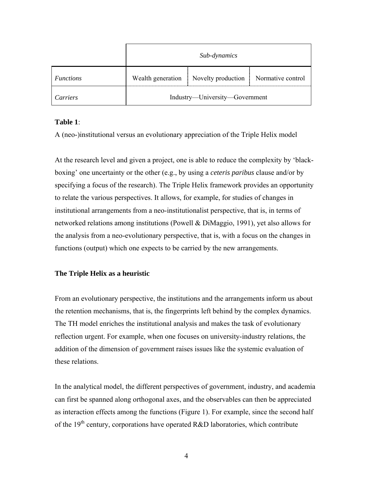|                  | Sub-dynamics                   |                                      |                   |
|------------------|--------------------------------|--------------------------------------|-------------------|
| <i>Functions</i> |                                | Wealth generation Novelty production | Normative control |
| Carriers         | Industry—University—Government |                                      |                   |

# **Table 1**:

A (neo-)institutional versus an evolutionary appreciation of the Triple Helix model

At the research level and given a project, one is able to reduce the complexity by 'blackboxing' one uncertainty or the other (e.g., by using a *ceteris paribus* clause and/or by specifying a focus of the research). The Triple Helix framework provides an opportunity to relate the various perspectives. It allows, for example, for studies of changes in institutional arrangements from a neo-institutionalist perspective, that is, in terms of networked relations among institutions (Powell & DiMaggio, 1991), yet also allows for the analysis from a neo-evolutionary perspective, that is, with a focus on the changes in functions (output) which one expects to be carried by the new arrangements.

# **The Triple Helix as a heuristic**

From an evolutionary perspective, the institutions and the arrangements inform us about the retention mechanisms, that is, the fingerprints left behind by the complex dynamics. The TH model enriches the institutional analysis and makes the task of evolutionary reflection urgent. For example, when one focuses on university-industry relations, the addition of the dimension of government raises issues like the systemic evaluation of these relations.

In the analytical model, the different perspectives of government, industry, and academia can first be spanned along orthogonal axes, and the observables can then be appreciated as interaction effects among the functions (Figure 1). For example, since the second half of the 19<sup>th</sup> century, corporations have operated R&D laboratories, which contribute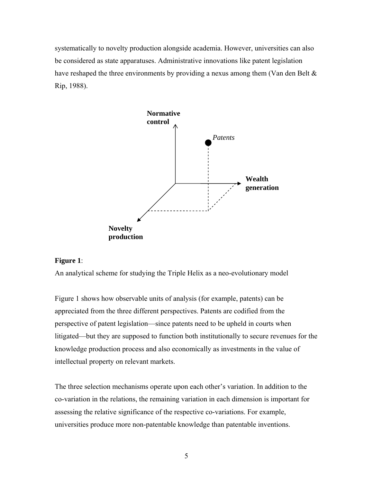systematically to novelty production alongside academia. However, universities can also be considered as state apparatuses. Administrative innovations like patent legislation have reshaped the three environments by providing a nexus among them (Van den Belt & Rip, 1988).



# **igure** 1:

An analytical scheme for studying the Triple Helix as a neo-evolutionary model

Figure 1 shows how observable units of analysis (for example, patents) can be n perspective of patent legislation—since patents need to be upheld in courts whe litigated—but they are supposed to function both institutionally to secure revenues for the appreciated from the three different perspectives. Patents are codified from the knowledge production process and also economically as investments in the value of intellectual property on relevant markets.

The three selection mechanisms operate upon each other's variation. In addition to the co-variation in the relations, the remaining variation in each dimension is important for assessing the relative significance of the respective co-variations. For example, universities produce more non-patentable knowledge than patentable inventions.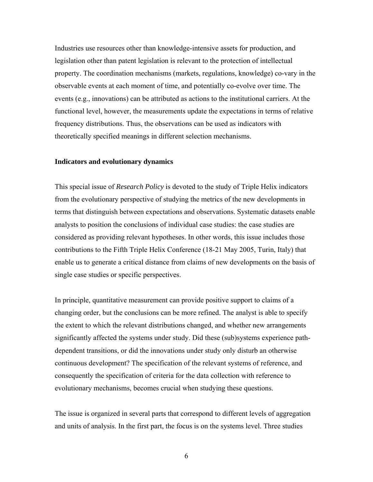Industries use resources other than knowledge-intensive assets for production, and legislation other than patent legislation is relevant to the protection of intellectual property. The coordination mechanisms (markets, regulations, knowledge) co-vary in the observable events at each moment of time, and potentially co-evolve over time. The events (e.g., innovations) can be attributed as actions to the institutional carriers. At th e functional level, however, the measurements update the expectations in terms of relative frequency distributions. Thus, the observations can be used as indicators with theoretically specified meanings in different selection mechanisms.

#### **ndicators and evolutionary dynamics I**

This special issue of *Research Policy* is devoted to the study of Triple Helix indicators terms that distinguish between expectations and observations. Systematic datasets enable considered as providing relevant hypotheses. In other words, this issue includes those enable us to generate a critical distance from claims of new developments on the basis of from the evolutionary perspective of studying the metrics of the new developments in analysts to position the conclusions of individual case studies: the case studies are contributions to the Fifth Triple Helix Conference (18-21 May 2005, Turin, Italy) that single case studies or specific perspectives.

In principle, quantitative measurement can provide positive support to claims of a changing order, but the conclusions can be more refined. The analyst is able to specify the extent to which the relevant distributions changed, and whether new arrangements significantly affected the systems under study. Did these (sub)systems experience pathdependent transitions, or did the innovations under study only disturb an otherwise continuous development? The specification of the relevant systems of reference, and consequently the specification of criteria for the data collection with reference to evolutionary mechanisms, becomes crucial when studying these questions.

The issue is organized in several parts that correspond to different levels of aggregation and units of analysis. In the first part, the focus is on the systems level. Three studies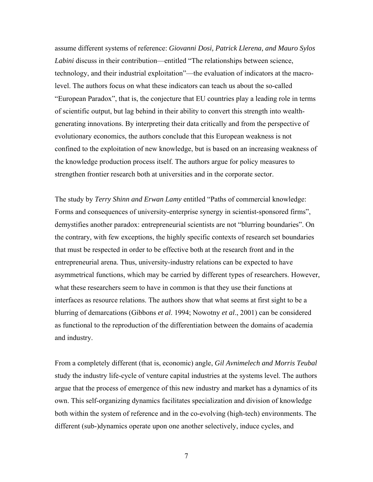assume different systems of reference: *Giovanni Dosi, Patrick Llerena, and Mauro Sylos Labini* discuss in their contribution—entitled "The relationships between science, technology, and their industrial exploitation"—the evaluation of indicators at the macrolevel. The authors focus on what these indicators can teach us about the so-called "European Paradox", that is, the conjecture that EU countries play a leading role in terms of scientific output, but lag behind in their ability to convert this strength into weal thgenerating innovations. By interpreting their data critically and from the perspective of evolutionary economics, the authors conclude that this European weakness is not confined to the exploitation of new knowledge, but is based on an increasing weakness o f the knowledge production process itself. The authors argue for policy measures to strengthen frontier research both at universities and in the corporate sector.

The study by *Terry Shinn and Erwan Lamy* entitled "Paths of commercial kn owledge: Forms and consequences of university-enterprise synergy in scientist-sponsored firms", demystifies another paradox: entrepreneurial scientists are not "blurring boundaries". On asymmetrical functions, which may be carried by different types of researchers. However, blurring of demarcations (Gibbons *et al.* 1994; Nowotny *et al.*, 2001) can be considered the contrary, with few exceptions, the highly specific contexts of research set boundaries that must be respected in order to be effective both at the research front and in the entrepreneurial arena. Thus, university-industry relations can be expected to have what these researchers seem to have in common is that they use their functions at interfaces as resource relations. The authors show that what seems at first sight to be a as functional to the reproduction of the differentiation between the domains of academia and industry.

From a completely different (that is, economic) angle, *Gil Avnimelech and Morris Teubal* study the industry life-cycle of venture capital industries at the systems level. The authors argue that the process of emergence of this new industry and market has a dynamics of its own. This self-organizing dynamics facilitates specialization and division of knowledge both within the system of reference and in the co-evolving (high-tech) environments. The different (sub-)dynamics operate upon one another selectively, induce cycles, and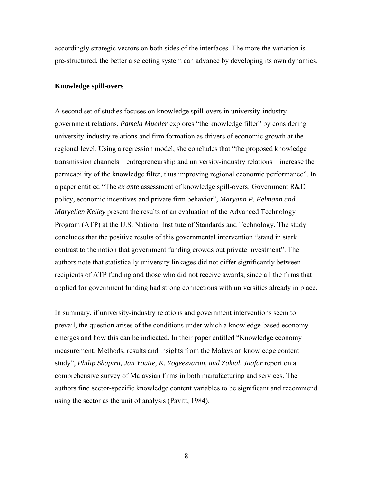accordingly strategic vectors on both sides of the interfaces. The more the variation is pre-structured, the better a selecting system can advance by developing its own dyn amics.

#### **Knowledge spill-overs**

A second set of studies focuses on knowledge spill-overs in university-industrygovernment relations. *Pamela Mueller* explores "the knowledge filter" by considering university-industry relations and firm formation as drivers of economic growth at the transmission channels—entrepreneurship and university-industry relations—increase the permeability of the knowledge filter, thus improving regional economic performance". In Program (ATP) at the U.S. National Institute of Standards and Technology. The study recipients of ATP funding and those who did not receive awards, since all the firms that applied for government funding had strong connections with universities already in place. regional level. Using a regression model, she concludes that "the proposed knowledge a paper entitled "The *ex ante* assessment of knowledge spill-overs: Government R&D policy, economic incentives and private firm behavior", *Maryann P. Felmann and Maryellen Kelley* present the results of an evaluation of the Advanced Technology concludes that the positive results of this governmental intervention "stand in stark contrast to the notion that government funding crowds out private investment". The authors note that statistically university linkages did not differ significantly between

prevail, the question arises of the conditions under which a knowledge-based economy authors find sector-specific knowledge content variables to be significant and recommend In summary, if university-industry relations and government interventions seem to emerges and how this can be indicated. In their paper entitled "Knowledge economy measurement: Methods, results and insights from the Malaysian knowledge content study", *Philip Shapira, Jan Youtie, K. Yogeesvaran, and Zakiah Jaafar* report on a comprehensive survey of Malaysian firms in both manufacturing and services. The using the sector as the unit of analysis (Pavitt, 1984).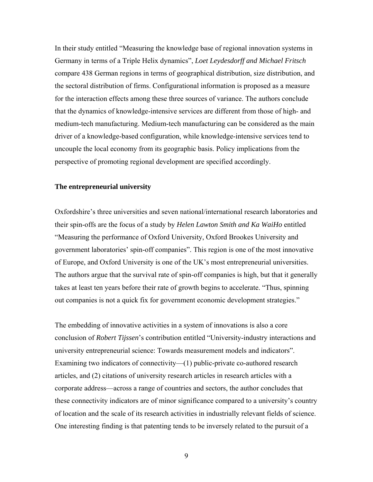In their study entitled "Measuring the knowledge base of regional innovation systems in compare 438 German regions in terms of geographical distribution, size distribution, and Germany in terms of a Triple Helix dynamics", *Loet Leydesdorff and Michael Fritsch* the sectoral distribution of firms. Configurational information is proposed as a measure for the interaction effects among these three sources of variance. The authors conclude that the dynamics of knowledge-intensive services are different from those of high- and medium-tech manufacturing. Medium-tech manufacturing can be considered as the main driver of a knowledge-based configuration, while knowledge-intensive services tend to uncouple the local economy from its geographic basis. Policy implications from the perspective of promoting regional development are specified accordingly.

#### **he entrepreneurial university T**

Oxfordshire's three universities and seven national/international research laboratories and government laboratories' spin-off companies". This region is one of the most innovative The authors argue that the survival rate of spin-off companies is high, but that it generally their spin-offs are the focus of a study by *Helen Lawton Smith and Ka WaiHo* entitled "Measuring the performance of Oxford University, Oxford Brookes University and of Europe, and Oxford University is one of the UK's most entrepreneurial universities. takes at least ten years before their rate of growth begins to accelerate. "Thus, spinning out companies is not a quick fix for government economic development strategies."

The embedding of innovative activities in a system of innovations is also a core conclusion of *Robert Tijssen*'s contribution entitled "University-industry interactions and corporate address—across a range of countries and sectors, the author concludes that these connectivity indicators are of minor significance compared to a university's country university entrepreneurial science: Towards measurement models and indicators". Examining two indicators of connectivity—(1) public-private co-authored research articles, and (2) citations of university research articles in research articles with a of location and the scale of its research activities in industrially relevant fields of science. One interesting finding is that patenting tends to be inversely related to the pursuit of a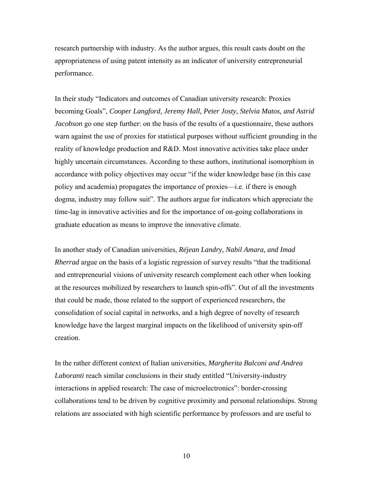research partnership with industry. As the author argues, this result casts doubt on the appropriateness of using patent intensity as an indicator of university entrepreneurial performance.

In their study "Indicators and outcomes of Canadian university research: Proxies *Astrid* becoming Goals", *Cooper Langford, Jeremy Hall, Peter Josty, Stelvia Matos, and* dogma, industry may follow suit". The authors argue for indicators which appreciate the *Jacobson* go one step further: on the basis of the results of a questionnaire, these authors warn against the use of proxies for statistical purposes without sufficient grounding in the reality of knowledge production and R&D. Most innovative activities take place under highly uncertain circumstances. According to these authors, institutional isomorphism in accordance with policy objectives may occur "if the wider knowledge base (in this case policy and academia) propagates the importance of proxies—i.e. if there is enough time-lag in innovative activities and for the importance of on-going collaborations in graduate education as means to improve the innovative climate.

In another study of Canadian universities, Réjean Landry, Nabil Amara, and Imad *Rherrad* argue on the basis of a logistic regression of survey results "that the traditional consolidation of social capital in networks, and a high degree of novelty of research and entrepreneurial visions of university research complement each other when looking at the resources mobilized by researchers to launch spin-offs". Out of all the investments that could be made, those related to the support of experienced researchers, the knowledge have the largest marginal impacts on the likelihood of university spin-off creation.

In the rather different context of Italian universities, *Margherita Balconi and Andrea* collaborations tend to be driven by cognitive proximity and personal relationships. Strong *Laboranti* reach similar conclusions in their study entitled "University-industry interactions in applied research: The case of microelectronics": border-crossing relations are associated with high scientific performance by professors and are useful to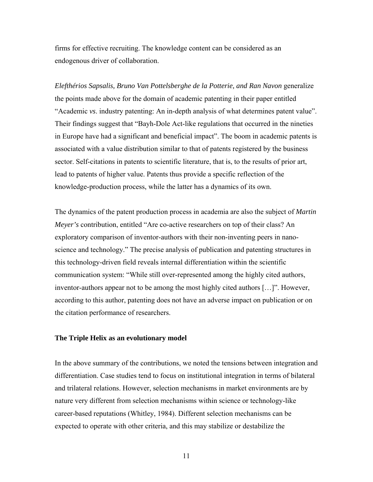firms for effective recruiting. The knowledge content can be considered as an endogenous driver of collaboration.

*Elefthérios Sapsalis, Bruno Van Pottelsberghe de la Potterie, and Ran Navon* generalize the points made above for the domain of academic patenting in their paper entitled "Academic *vs*. industry patenting: An in-depth analysis of what determines patent value". Their findings suggest that "Bayh-Dole Act-like regulations that occurred in the nineties in Europe have had a significant and beneficial impact". The boom in academic patents is associated with a value distribution similar to that of patents registered by the business sector. Self-citations in patents to scientific literature, that is, to the results of prior art, lead to patents of higher value. Patents thus provide a specific reflection of the knowledge-production process, while the latter has a dynamics of its own.

The dynamics of the patent production process in academia are also the subject of *Martin Meyer's* contribution, entitled "Are co-active researchers on top of their class? An exploratory comparison of inventor-authors with their non-inventing peers in nanoscience and technology." The precise analysis of publication and patenting structures in this technology-driven field reveals internal differentiation within the scientific communication system: "While still over-represented among the highly cited authors, inventor-authors appear not to be among the most highly cited authors […]". However, according to this author, patenting does not have an adverse impact on publication or on the citation performance of researchers.

# **The Triple Helix as an evolutionary model**

In the above summary of the contributions, we noted the tensions between integration and differentiation. Case studies tend to focus on institutional integration in terms of bilateral and trilateral relations. However, selection mechanisms in market environments are by nature very different from selection mechanisms within science or technology-like career-based reputations (Whitley, 1984). Different selection mechanisms can be expected to operate with other criteria, and this may stabilize or destabilize the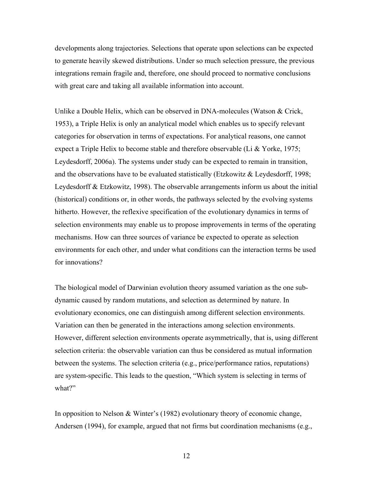developments along trajectories. Selections that operate upon selections can be expected to generate heavily skewed distributions. Under so much selection pressure, the previous integrations remain fragile and, therefore, one should proceed to normative conclusions with great care and taking all available information into account.

Unlike a Double Helix, which can be observed in DNA-molecules (Watson & Crick, 1953), a Triple Helix is only an analytical model which enables us to specify relevant categories for observation in terms of expectations. For analytical reasons, one cannot expect a Triple Helix to become stable and therefore observable (Li & Yorke, 1975; Leydesdorff, 2006a). The systems under study can be expected to remain in transition, and the observations have to be evaluated statistically (Etzkowitz & Leydesdorff, 1998; Leydesdorff & Etzkowitz, 1998). The observable arrangements inform us about the initial (historical) conditions or, in other words, the pathways selected by the evolving systems hitherto. However, the reflexive specification of the evolutionary dynamics in terms of selection environments may enable us to propose improvements in terms of the operating mechanisms. How can three sources of variance be expected to operate as selection environments for each other, and under what conditions can the interaction terms be used for innovations?

The biological model of Darwinian evolution theory assumed variation as the one subdynamic caused by random mutations, and selection as determined by nature. In evolutionary economics, one can distinguish among different selection environments. Variation can then be generated in the interactions among selection environments. However, different selection environments operate asymmetrically, that is, using different selection criteria: the observable variation can thus be considered as mutual information between the systems. The selection criteria (e.g., price/performance ratios, reputations) are system-specific. This leads to the question, "Which system is selecting in terms of what?"

In opposition to Nelson & Winter's (1982) evolutionary theory of economic change, Andersen (1994), for example, argued that not firms but coordination mechanisms (e.g.,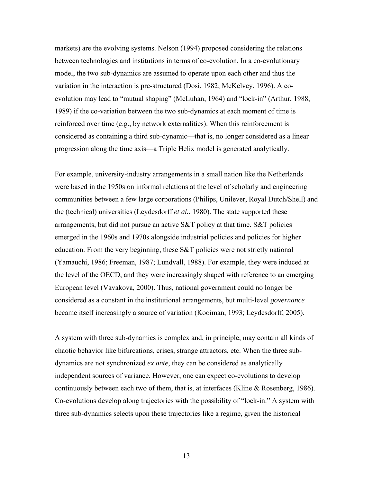markets) are the evolving systems. Nelson (1994) proposed considering the relations between technologies and institutions in terms of co-evolution. In a co-evolutionary model, the two sub-dynamics are assumed to operate upon each other and thus the variation in the interaction is pre-structured (Dosi, 1982; McKelvey, 1996). A coevolution may lead to "mutual shaping" (McLuhan, 1964) and "lock-in" (Arthur, 1988, 1989) if the co-variation between the two sub-dynamics at each moment of time is reinforced over time (e.g., by network externalities). When this reinforcement is considered as containing a third sub-dynamic—that is, no longer considered as a linear progression along the time axis—a Triple Helix model is generated analytically.

For example, university-industry arrangements in a small nation like the Netherlands were based in the 1950s on informal relations at the level of scholarly and engineering communities between a few large corporations (Philips, Unilever, Royal Dutch/Shell) and the (technical) universities (Leydesdorff *et al.*, 1980). The state supported these arrangements, but did not pursue an active S&T policy at that time. S&T policies emerged in the 1960s and 1970s alongside industrial policies and policies for higher education. From the very beginning, these S&T policies were not strictly national (Yamauchi, 1986; Freeman, 1987; Lundvall, 1988). For example, they were induced at the level of the OECD, and they were increasingly shaped with reference to an emerging European level (Vavakova, 2000). Thus, national government could no longer be considered as a constant in the institutional arrangements, but multi-level *governance* became itself increasingly a source of variation (Kooiman, 1993; Leydesdorff, 2005).

A system with three sub-dynamics is complex and, in principle, may contain all kinds of chaotic behavior like bifurcations, crises, strange attractors, etc. When the three subdynamics are not synchronized *ex ante*, they can be considered as analytically independent sources of variance. However, one can expect co-evolutions to develop continuously between each two of them, that is, at interfaces (Kline & Rosenberg, 1986). Co-evolutions develop along trajectories with the possibility of "lock-in." A system with three sub-dynamics selects upon these trajectories like a regime, given the historical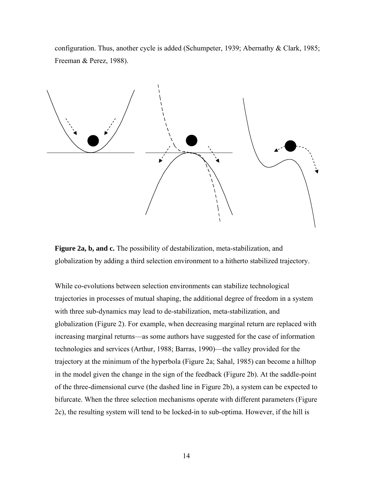configuration. Thus, another cycle is added (Schumpeter, 1939; Abernathy & Clark, 1985; Freeman & Perez, 1988).



**Figure 2a, b, and c.** The possibility of destabilization, meta-stabilization, and globalization by adding a third selection environment to a hitherto stabilized trajectory.

While co-evolutions between selection environments can stabilize technological trajectories in processes of mutual shaping, the additional degree of freedom in a system with three sub-dynamics may lead to de-stabilization, meta-stabilization, and globalization (Figure 2). For example, when decreasing marginal return are replaced with increasing marginal returns—as some authors have suggested for the case of information technologies and services (Arthur, 1988; Barras, 1990)—the valley provided for the trajectory at the minimum of the hyperbola (Figure 2a; Sahal, 1985) can become a hilltop in the model given the change in the sign of the feedback (Figure 2b). At the saddle-point of the three-dimensional curve (the dashed line in Figure 2b), a system can be expected to bifurcate. When the three selection mechanisms operate with different parameters (Figure 2c), the resulting system will tend to be locked-in to sub-optima. However, if the hill is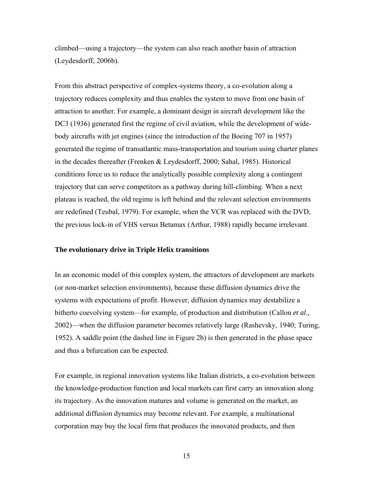climbed—using a trajectory—the system can also reach another basin of attraction (Leydesdorff, 2006b).

From this abstract perspective of complex-systems theory, a co-evolution along a trajectory reduces complexity and thus enables the system to move from one basin of attraction to another. For example, a dominant design in aircraft development like the DC3 (1936) generated first the regime of civil aviation, while the development of widebody aircrafts with jet engines (since the introduction of the Boeing 707 in 1957) generated the regime of transatlantic mass-transportation and tourism using charter planes in the decades thereafter (Frenken & Leydesdorff, 2000; Sahal, 1985). Historical conditions force us to reduce the analytically possible complexity along a contingent trajectory that can serve competitors as a pathway during hill-climbing. When a next plateau is reached, the old regime is left behind and the relevant selection environments are redefined (Teubal, 1979). For example, when the VCR was replaced with the DVD, the previous lock-in of VHS versus Betamax (Arthur, 1988) rapidly became irrelevant.

# **The evolutionary drive in Triple Helix transitions**

In an economic model of this complex system, the attractors of development are markets (or non-market selection environments), because these diffusion dynamics drive the systems with expectations of profit. However, diffusion dynamics may destabilize a hitherto coevolving system—for example, of production and distribution (Callon *et al*., 2002)—when the diffusion parameter becomes relatively large (Rashevsky, 1940; Turing, 1952). A saddle point (the dashed line in Figure 2b) is then generated in the phase space and thus a bifurcation can be expected.

For example, in regional innovation systems like Italian districts, a co-evolution between the knowledge-production function and local markets can first carry an innovation along its trajectory. As the innovation matures and volume is generated on the market, an additional diffusion dynamics may become relevant. For example, a multinational corporation may buy the local firm that produces the innovated products, and then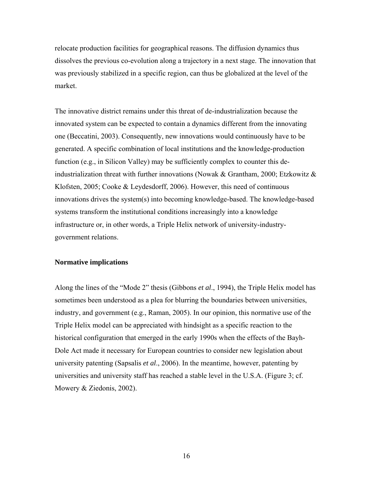relocate production facilities for geographical reasons. The diffusion dynamics thus dissolves the previous co-evolution along a trajectory in a next stage. The innovation that was previously stabilized in a specific region, can thus be globalized at the level of the market.

The innovative district remains under this threat of de-industrialization because the innovated system can be expected to contain a dynamics different from the innovating one (Beccatini, 2003). Consequently, new innovations would continuously have to be generated. A specific combination of local institutions and the knowledge-production function (e.g., in Silicon Valley) may be sufficiently complex to counter this deindustrialization threat with further innovations (Nowak & Grantham, 2000; Etzkowitz & Klofsten, 2005; Cooke & Leydesdorff, 2006). However, this need of continuous innovations drives the system(s) into becoming knowledge-based. The knowledge-based systems transform the institutional conditions increasingly into a knowledge infrastructure or, in other words, a Triple Helix network of university-industrygovernment relations.

# **Normative implications**

Along the lines of the "Mode 2" thesis (Gibbons *et al*., 1994), the Triple Helix model has sometimes been understood as a plea for blurring the boundaries between universities, industry, and government (e.g., Raman, 2005). In our opinion, this normative use of the Triple Helix model can be appreciated with hindsight as a specific reaction to the historical configuration that emerged in the early 1990s when the effects of the Bayh-Dole Act made it necessary for European countries to consider new legislation about university patenting (Sapsalis *et al*., 2006). In the meantime, however, patenting by universities and university staff has reached a stable level in the U.S.A. (Figure 3; cf. Mowery & Ziedonis, 2002).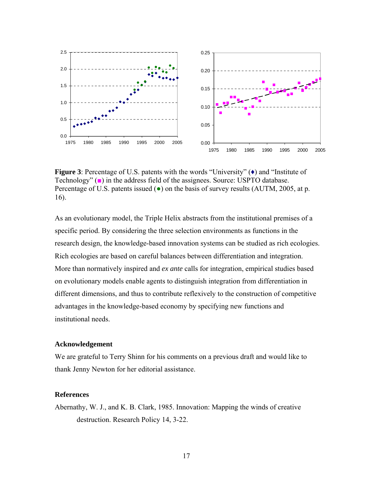

**Figure 3**: Percentage of U.S. patents with the words "University" ( $\bullet$ ) and "Institute of Technology" (■) in the address field of the assignees. Source: USPTO database. Percentage of U.S. patents issued  $\left( \bullet \right)$  on the basis of survey results (AUTM, 2005, at p. 16).

As an evolutionary model, the Triple Helix abstracts from the institutional premises of a specific period. By considering the three selection environments as functions in the research design, the knowledge-based innovation systems can be studied as rich ecologies. Rich ecologies are based on careful balances between differentiation and integration. More than normatively inspired and *ex ante* calls for integration, empirical studies based on evolutionary models enable agents to distinguish integration from differentiation in different dimensions, and thus to contribute reflexively to the construction of competitive advantages in the knowledge-based economy by specifying new functions and institutional needs.

# **Acknowledgement**

We are grateful to Terry Shinn for his comments on a previous draft and would like to thank Jenny Newton for her editorial assistance.

## **References**

Abernathy, W. J., and K. B. Clark, 1985. Innovation: Mapping the winds of creative destruction. Research Policy 14, 3-22.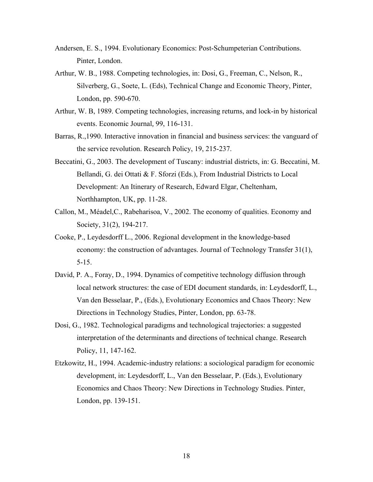- Andersen, E. S., 1994. Evolutionary Economics: Post-Schumpeterian Contributions. Pinter, London.
- Arthur, W. B., 1988. Competing technologies, in: Dosi, G., Freeman, C., Nelson, R., Silverberg, G., Soete, L. (Eds), Technical Change and Economic Theory, Pinter, London, pp. 590-670.
- Arthur, W. B, 1989. Competing technologies, increasing returns, and lock-in by historical events. Economic Journal*,* 99, 116-131.
- Barras, R.,1990. Interactive innovation in financial and business services: the vanguard of the service revolution. Research Policy, 19, 215-237.
- Beccatini, G., 2003. The development of Tuscany: industrial districts, in: G. Beccatini, M. Bellandi, G. dei Ottati & F. Sforzi (Eds.), From Industrial Districts to Local Development: An Itinerary of Research, Edward Elgar, Cheltenham, Northhampton, UK, pp. 11-28.
- Callon, M., Méadel,C., Rabeharisoa, V., 2002. The economy of qualities. Economy and Society, 31(2), 194-217.
- Cooke, P., Leydesdorff L., 2006. Regional development in the knowledge-based economy: the construction of advantages. Journal of Technology Transfer 31(1), 5-15.
- David, P. A., Foray, D., 1994. Dynamics of competitive technology diffusion through local network structures: the case of EDI document standards, in: Leydesdorff, L., Van den Besselaar, P., (Eds.), Evolutionary Economics and Chaos Theory: New Directions in Technology Studies, Pinter, London, pp. 63-78.
- Dosi, G., 1982. Technological paradigms and technological trajectories: a suggested interpretation of the determinants and directions of technical change. Research Policy, 11, 147-162.
- Etzkowitz, H., 1994. Academic-industry relations: a sociological paradigm for economic development, in: Leydesdorff, L., Van den Besselaar, P. (Eds.), Evolutionary Economics and Chaos Theory: New Directions in Technology Studies. Pinter, London, pp. 139-151.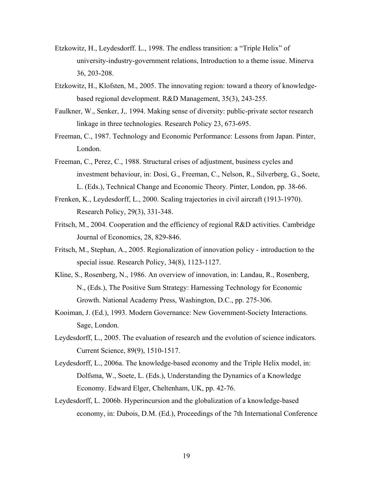- Etzkowitz, H., Leydesdorff. L., 1998. The endless transition: a "Triple Helix" of university-industry-government relations, Introduction to a theme issue. Minerva 36, 203-208.
- Etzkowitz, H., Klofsten, M., 2005. The innovating region: toward a theory of knowledgebased regional development. R&D Management, 35(3), 243-255.
- Faulkner, W., Senker, J,. 1994. Making sense of diversity: public-private sector research linkage in three technologies. Research Policy 23, 673-695.
- Freeman, C., 1987. Technology and Economic Performance: Lessons from Japan. Pinter, London.
- Freeman, C., Perez, C., 1988. Structural crises of adjustment, business cycles and investment behaviour, in: Dosi, G., Freeman, C., Nelson, R., Silverberg, G., Soete, L. (Eds.), Technical Change and Economic Theory. Pinter, London, pp. 38-66.
- Frenken, K., Leydesdorff, L., 2000. Scaling trajectories in civil aircraft (1913-1970). Research Policy, 29(3), 331-348.
- Fritsch, M., 2004. Cooperation and the efficiency of regional R&D activities. Cambridge Journal of Economics, 28, 829-846.
- Fritsch, M., Stephan, A., 2005. Regionalization of innovation policy introduction to the special issue. Research Policy, 34(8), 1123-1127.
- Kline, S., Rosenberg, N., 1986. An overview of innovation, in: Landau, R., Rosenberg, N., (Eds.), The Positive Sum Strategy: Harnessing Technology for Economic Growth. National Academy Press, Washington, D.C., pp. 275-306.
- Kooiman, J. (Ed.), 1993. Modern Governance: New Government-Society Interactions. Sage, London.
- Leydesdorff, L., 2005. The evaluation of research and the evolution of science indicators. Current Science, 89(9), 1510-1517.
- Leydesdorff, L., 2006a. The knowledge-based economy and the Triple Helix model, in: Dolfsma, W., Soete, L. (Eds.), Understanding the Dynamics of a Knowledge Economy. Edward Elger, Cheltenham, UK, pp. 42-76.
- Leydesdorff, L. 2006b. Hyperincursion and the globalization of a knowledge-based economy, in: Dubois, D.M. (Ed.), Proceedings of the 7th International Conference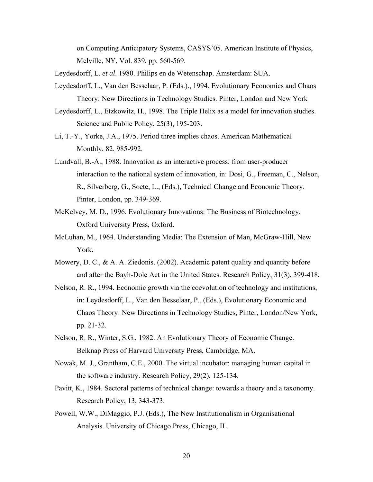on Computing Anticipatory Systems, CASYS'05. American Institute of Physics, Melville, NY, Vol. 839, pp. 560-569.

Leydesdorff, L. *et al*. 1980. Philips en de Wetenschap. Amsterdam: SUA.

- Leydesdorff, L., Van den Besselaar, P. (Eds.)., 1994. Evolutionary Economics and Chaos Theory: New Directions in Technology Studies. Pinter, London and New York
- Leydesdorff, L., Etzkowitz, H., 1998. The Triple Helix as a model for innovation studies. Science and Public Policy, 25(3), 195-203.
- Li, T.-Y., Yorke, J.A., 1975. Period three implies chaos. American Mathematical Monthly, 82, 985-992.
- Lundvall, B.-Å., 1988. Innovation as an interactive process: from user-producer interaction to the national system of innovation, in: Dosi, G., Freeman, C., Nelson, R., Silverberg, G., Soete, L., (Eds.), Technical Change and Economic Theory. Pinter, London, pp. 349-369.
- McKelvey, M. D., 1996. Evolutionary Innovations: The Business of Biotechnology, Oxford University Press, Oxford.
- McLuhan, M., 1964. Understanding Media: The Extension of Man, McGraw-Hill, New York.
- Mowery, D. C., & A. A. Ziedonis. (2002). Academic patent quality and quantity before and after the Bayh-Dole Act in the United States. Research Policy, 31(3), 399-418.
- Nelson, R. R., 1994. Economic growth via the coevolution of technology and institutions, in: Leydesdorff, L., Van den Besselaar, P., (Eds.), Evolutionary Economic and Chaos Theory: New Directions in Technology Studies, Pinter, London/New York, pp. 21-32.
- Nelson, R. R., Winter, S.G., 1982. An Evolutionary Theory of Economic Change. Belknap Press of Harvard University Press, Cambridge, MA.
- Nowak, M. J., Grantham, C.E., 2000. The virtual incubator: managing human capital in the software industry. Research Policy, 29(2), 125-134.
- Pavitt, K., 1984. Sectoral patterns of technical change: towards a theory and a taxonomy. Research Policy, 13, 343-373.
- Powell, W.W., DiMaggio, P.J. (Eds.), The New Institutionalism in Organisational Analysis. University of Chicago Press, Chicago, IL.